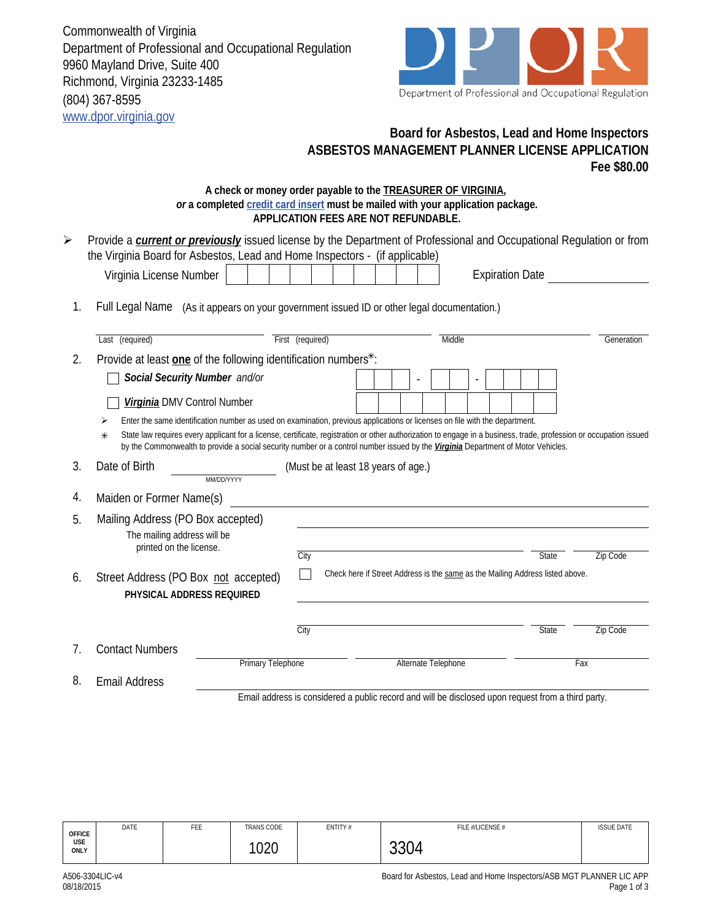Commonwealth of Virginia Department of Professional and Occupational Regulation 9960 Mayland Drive, Suite 400 Richmond, Virginia 23233-1485 (804) 367-8595 www.dpor.virginia.gov



## **Board for Asbestos, Lead and Home Inspectors ASBESTOS MANAGEMENT PLANNER LICENSE APPLICATION Fee \$80.00**

## **A check or money order payable to the TREASURER OF VIRGINIA,**  *or* **a completed credit card insert must be mailed with your application package. APPLICATION FEES ARE NOT REFUNDABLE.**

|                | AFFLIGATION I LLJ ANL NOT NLI UNDADLL                                                                                                                                                                                                                                                                            |                  |                                     |  |  |                     |  |                        |                                                                               |     |            |
|----------------|------------------------------------------------------------------------------------------------------------------------------------------------------------------------------------------------------------------------------------------------------------------------------------------------------------------|------------------|-------------------------------------|--|--|---------------------|--|------------------------|-------------------------------------------------------------------------------|-----|------------|
| ➤              | Provide a <b>current or previously</b> issued license by the Department of Professional and Occupational Regulation or from<br>the Virginia Board for Asbestos, Lead and Home Inspectors - (if applicable)                                                                                                       |                  |                                     |  |  |                     |  |                        |                                                                               |     |            |
|                | Virginia License Number                                                                                                                                                                                                                                                                                          |                  |                                     |  |  |                     |  | <b>Expiration Date</b> |                                                                               |     |            |
| 1.             | Full Legal Name (As it appears on your government issued ID or other legal documentation.)                                                                                                                                                                                                                       |                  |                                     |  |  |                     |  |                        |                                                                               |     |            |
|                | Last (required)                                                                                                                                                                                                                                                                                                  | First (required) |                                     |  |  | Middle              |  |                        |                                                                               |     | Generation |
| 2.             | Provide at least one of the following identification numbers*:                                                                                                                                                                                                                                                   |                  |                                     |  |  |                     |  |                        |                                                                               |     |            |
|                | Social Security Number and/or                                                                                                                                                                                                                                                                                    |                  |                                     |  |  |                     |  |                        |                                                                               |     |            |
|                | Virginia DMV Control Number                                                                                                                                                                                                                                                                                      |                  |                                     |  |  |                     |  |                        |                                                                               |     |            |
|                | Enter the same identification number as used on examination, previous applications or licenses on file with the department.<br>⋗                                                                                                                                                                                 |                  |                                     |  |  |                     |  |                        |                                                                               |     |            |
|                | State law requires every applicant for a license, certificate, registration or other authorization to engage in a business, trade, profession or occupation issued<br>$\ast$<br>by the Commonwealth to provide a social security number or a control number issued by the Virginia Department of Motor Vehicles. |                  |                                     |  |  |                     |  |                        |                                                                               |     |            |
| 3.             | Date of Birth<br>MM/DD/YYYY                                                                                                                                                                                                                                                                                      |                  | (Must be at least 18 years of age.) |  |  |                     |  |                        |                                                                               |     |            |
| 4.             | Maiden or Former Name(s)                                                                                                                                                                                                                                                                                         |                  |                                     |  |  |                     |  |                        |                                                                               |     |            |
| 5.             | Mailing Address (PO Box accepted)                                                                                                                                                                                                                                                                                |                  |                                     |  |  |                     |  |                        |                                                                               |     |            |
|                | The mailing address will be                                                                                                                                                                                                                                                                                      |                  |                                     |  |  |                     |  |                        |                                                                               |     |            |
|                | printed on the license.                                                                                                                                                                                                                                                                                          | City             |                                     |  |  |                     |  |                        | <b>State</b>                                                                  |     | Zip Code   |
|                |                                                                                                                                                                                                                                                                                                                  |                  |                                     |  |  |                     |  |                        | Check here if Street Address is the same as the Mailing Address listed above. |     |            |
| 6.             | Street Address (PO Box not accepted)<br>PHYSICAL ADDRESS REQUIRED                                                                                                                                                                                                                                                |                  |                                     |  |  |                     |  |                        |                                                                               |     |            |
|                |                                                                                                                                                                                                                                                                                                                  |                  |                                     |  |  |                     |  |                        |                                                                               |     |            |
|                |                                                                                                                                                                                                                                                                                                                  | City             |                                     |  |  |                     |  |                        | State                                                                         |     | Zip Code   |
| 7 <sub>1</sub> | <b>Contact Numbers</b>                                                                                                                                                                                                                                                                                           |                  |                                     |  |  |                     |  |                        |                                                                               |     |            |
|                | <b>Primary Telephone</b>                                                                                                                                                                                                                                                                                         |                  |                                     |  |  | Alternate Telephone |  |                        |                                                                               | Fax |            |
| 8.             | <b>Email Address</b>                                                                                                                                                                                                                                                                                             |                  |                                     |  |  |                     |  |                        |                                                                               |     |            |

Email address is considered a public record and will be disclosed upon request from a third party.

| <b>OFFICE</b><br>USE<br>ONLY | DATE | FEE | <b>TRANS CODE</b>   | ENTITY# | FILE #/LICENSE #          | <b>ISSUE DATE</b> |
|------------------------------|------|-----|---------------------|---------|---------------------------|-------------------|
|                              |      |     | 102 $\Gamma$<br>uzu |         | $\bigcap \bigcap$<br>3304 |                   |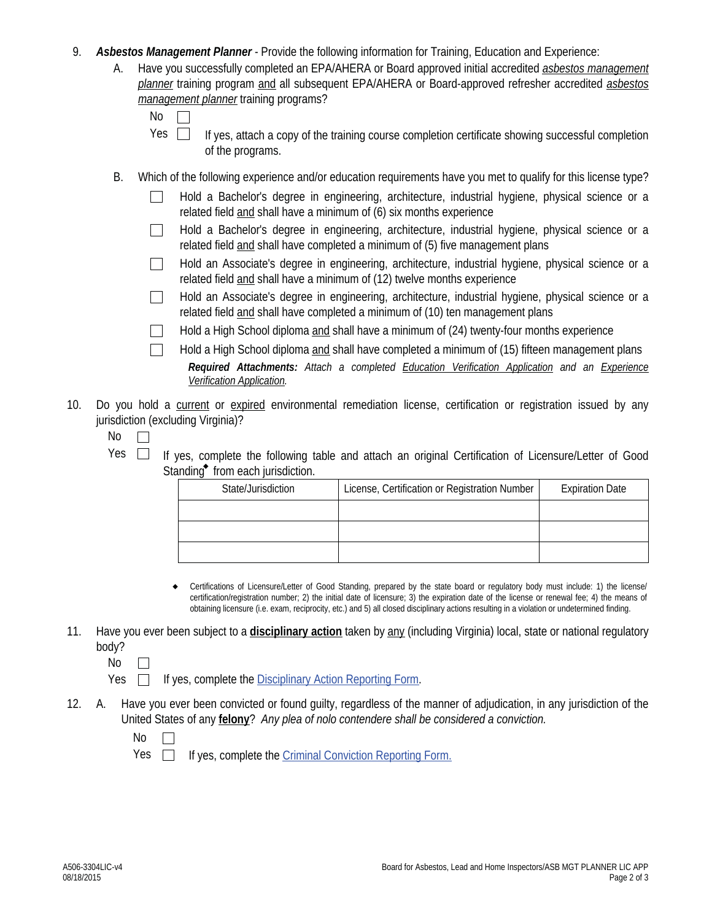- 9. *Asbestos Management Planner* Provide the following information for Training, Education and Experience:
	- Have you successfully completed an EPA/AHERA or Board approved initial accredited *asbestos management planner* training program and all subsequent EPA/AHERA or Board-approved refresher accredited *asbestos management planner* training programs? A.

| ۰.<br>× |  |
|---------|--|
|         |  |

- If yes, attach a copy of the training course completion certificate showing successful completion of the programs. Yes  $\Box$
- B. Which of the following experience and/or education requirements have you met to qualify for this license type?
	- Hold a Bachelor's degree in engineering, architecture, industrial hygiene, physical science or a related field and shall have a minimum of (6) six months experience
	- Hold a Bachelor's degree in engineering, architecture, industrial hygiene, physical science or a related field and shall have completed a minimum of (5) five management plans
	- Hold an Associate's degree in engineering, architecture, industrial hygiene, physical science or a  $\mathbb{R}^n$ related field and shall have a minimum of (12) twelve months experience
	- Hold an Associate's degree in engineering, architecture, industrial hygiene, physical science or a  $\Box$ related field and shall have completed a minimum of (10) ten management plans

Hold a High School diploma and shall have a minimum of (24) twenty-four months experience  $\perp$ 

- *Required Attachments: Attach a completed Education Verification Application and an Experience Verification Application.* Hold a High School diploma and shall have completed a minimum of (15) fifteen management plans
- 10. Do you hold a current or expired environmental remediation license, certification or registration issued by any jurisdiction (excluding Virginia)?
	- No  $\Box$
	- Yes  $\Box$  If yes, complete the following table and attach an original Certification of Licensure/Letter of Good Standing $\bullet$  from each jurisdiction.

| State/Jurisdiction | License, Certification or Registration Number | <b>Expiration Date</b> |  |  |
|--------------------|-----------------------------------------------|------------------------|--|--|
|                    |                                               |                        |  |  |
|                    |                                               |                        |  |  |
|                    |                                               |                        |  |  |

- Certifications of Licensure/Letter of Good Standing, prepared by the state board or regulatory body must include: 1) the license/ certification/registration number; 2) the initial date of licensure; 3) the expiration date of the license or renewal fee; 4) the means of obtaining licensure (i.e. exam, reciprocity, etc.) and 5) all closed disciplinary actions resulting in a violation or undetermined finding.  $\bullet$
- 11. Have you ever been subject to a **disciplinary action** taken by any (including Virginia) local, state or national regulatory body?
	- No  $\Box$

 $Yes \Box$  If yes, complete the Disciplinary Action Reporting Form.

- Have you ever been convicted or found guilty, regardless of the manner of adjudication, in any jurisdiction of the United States of any **felony**? *Any plea of nolo contendere shall be considered a conviction.* 12.
	- No  $\Box$
	- Yes  $\square$ If yes, complete the Criminal Conviction Reporting Form.